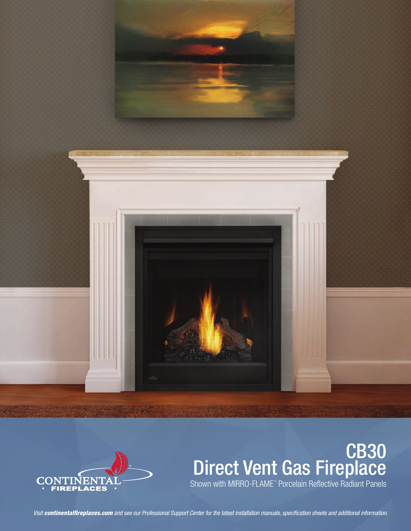



# CB30 Direct Vent Gas Fireplace Shown with MIRRO-FLAME<sup>"</sup> Porcelain Reflective Radiant Panels

*Visit continentalfireplaces.com and see our Professional Support Center for the latest installation manuals, specification sheets and additional information.*